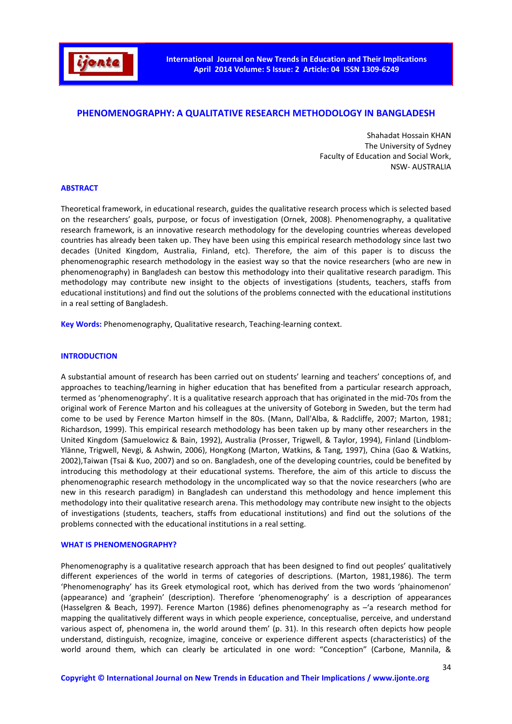

# **PHENOMENOGRAPHY: A QUALITATIVE RESEARCH METHODOLOGY IN BANGLADESH**

Shahadat Hossain KHAN The University of Sydney Faculty of Education and Social Work, NSW- AUSTRALIA

### **ABSTRACT**

Theoretical framework, in educational research, guides the qualitative research process which is selected based on the researchers' goals, purpose, or focus of investigation (Ornek, 2008). Phenomenography, a qualitative research framework, is an innovative research methodology for the developing countries whereas developed countries has already been taken up. They have been using this empirical research methodology since last two decades (United Kingdom, Australia, Finland, etc). Therefore, the aim of this paper is to discuss the phenomenographic research methodology in the easiest way so that the novice researchers (who are new in phenomenography) in Bangladesh can bestow this methodology into their qualitative research paradigm. This methodology may contribute new insight to the objects of investigations (students, teachers, staffs from educational institutions) and find out the solutions of the problems connected with the educational institutions in a real setting of Bangladesh.

**Key Words:** Phenomenography, Qualitative research, Teaching-learning context.

### **INTRODUCTION**

A substantial amount of research has been carried out on students' learning and teachers' conceptions of, and approaches to teaching/learning in higher education that has benefited from a particular research approach, termed as 'phenomenography'. It is a qualitative research approach that has originated in the mid-70s from the original work of Ference Marton and his colleagues at the university of Goteborg in Sweden, but the term had come to be used by Ference Marton himself in the 80s. (Mann, Dall'Alba, & Radcliffe, 2007; Marton, 1981; Richardson, 1999). This empirical research methodology has been taken up by many other researchers in the United Kingdom (Samuelowicz & Bain, 1992), Australia (Prosser, Trigwell, & Taylor, 1994), Finland (Lindblom-Ylänne, Trigwell, Nevgi, & Ashwin, 2006), HongKong (Marton, Watkins, & Tang, 1997), China (Gao & Watkins, 2002),Taiwan (Tsai & Kuo, 2007) and so on. Bangladesh, one of the developing countries, could be benefited by introducing this methodology at their educational systems. Therefore, the aim of this article to discuss the phenomenographic research methodology in the uncomplicated way so that the novice researchers (who are new in this research paradigm) in Bangladesh can understand this methodology and hence implement this methodology into their qualitative research arena. This methodology may contribute new insight to the objects of investigations (students, teachers, staffs from educational institutions) and find out the solutions of the problems connected with the educational institutions in a real setting.

### **WHAT IS PHENOMENOGRAPHY?**

Phenomenography is a qualitative research approach that has been designed to find out peoples' qualitatively different experiences of the world in terms of categories of descriptions. (Marton, 1981,1986). The term 'Phenomenography' has its Greek etymological root, which has derived from the two words 'phainomenon' (appearance) and 'graphein' (description). Therefore 'phenomenography' is a description of appearances (Hasselgren & Beach, 1997). Ference Marton (1986) defines phenomenography as –'a research method for mapping the qualitatively different ways in which people experience, conceptualise, perceive, and understand various aspect of, phenomena in, the world around them' (p. 31). In this research often depicts how people understand, distinguish, recognize, imagine, conceive or experience different aspects (characteristics) of the world around them, which can clearly be articulated in one word: "Conception" (Carbone, Mannila, &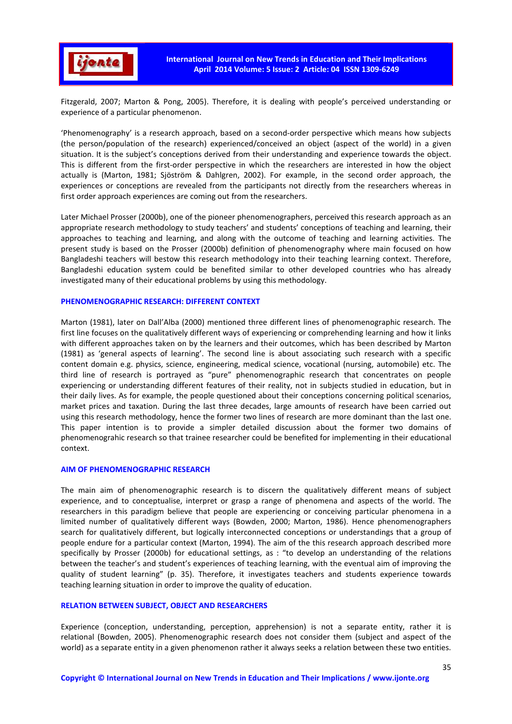

Fitzgerald, 2007; Marton & Pong, 2005). Therefore, it is dealing with people's perceived understanding or experience of a particular phenomenon.

'Phenomenography' is a research approach, based on a second-order perspective which means how subjects (the person/population of the research) experienced/conceived an object (aspect of the world) in a given situation. It is the subject's conceptions derived from their understanding and experience towards the object. This is different from the first-order perspective in which the researchers are interested in how the object actually is (Marton, 1981; Sjöström & Dahlgren, 2002). For example, in the second order approach, the experiences or conceptions are revealed from the participants not directly from the researchers whereas in first order approach experiences are coming out from the researchers.

Later Michael Prosser (2000b), one of the pioneer phenomenographers, perceived this research approach as an appropriate research methodology to study teachers' and students' conceptions of teaching and learning, their approaches to teaching and learning, and along with the outcome of teaching and learning activities. The present study is based on the Prosser (2000b) definition of phenomenography where main focused on how Bangladeshi teachers will bestow this research methodology into their teaching learning context. Therefore, Bangladeshi education system could be benefited similar to other developed countries who has already investigated many of their educational problems by using this methodology.

#### **PHENOMENOGRAPHIC RESEARCH: DIFFERENT CONTEXT**

Marton (1981), later on Dall'Alba (2000) mentioned three different lines of phenomenographic research. The first line focuses on the qualitatively different ways of experiencing or comprehending learning and how it links with different approaches taken on by the learners and their outcomes, which has been described by Marton (1981) as 'general aspects of learning'. The second line is about associating such research with a specific content domain e.g. physics, science, engineering, medical science, vocational (nursing, automobile) etc. The third line of research is portrayed as "pure" phenomenographic research that concentrates on people experiencing or understanding different features of their reality, not in subjects studied in education, but in their daily lives. As for example, the people questioned about their conceptions concerning political scenarios, market prices and taxation. During the last three decades, large amounts of research have been carried out using this research methodology, hence the former two lines of research are more dominant than the last one. This paper intention is to provide a simpler detailed discussion about the former two domains of phenomenograhic research so that trainee researcher could be benefited for implementing in their educational context.

### **AIM OF PHENOMENOGRAPHIC RESEARCH**

The main aim of phenomenographic research is to discern the qualitatively different means of subject experience, and to conceptualise, interpret or grasp a range of phenomena and aspects of the world. The researchers in this paradigm believe that people are experiencing or conceiving particular phenomena in a limited number of qualitatively different ways (Bowden, 2000; Marton, 1986). Hence phenomenographers search for qualitatively different, but logically interconnected conceptions or understandings that a group of people endure for a particular context (Marton, 1994). The aim of the this research approach described more specifically by Prosser (2000b) for educational settings, as : "to develop an understanding of the relations between the teacher's and student's experiences of teaching learning, with the eventual aim of improving the quality of student learning" (p. 35). Therefore, it investigates teachers and students experience towards teaching learning situation in order to improve the quality of education.

### **RELATION BETWEEN SUBJECT, OBJECT AND RESEARCHERS**

Experience (conception, understanding, perception, apprehension) is not a separate entity, rather it is relational (Bowden, 2005). Phenomenographic research does not consider them (subject and aspect of the world) as a separate entity in a given phenomenon rather it always seeks a relation between these two entities.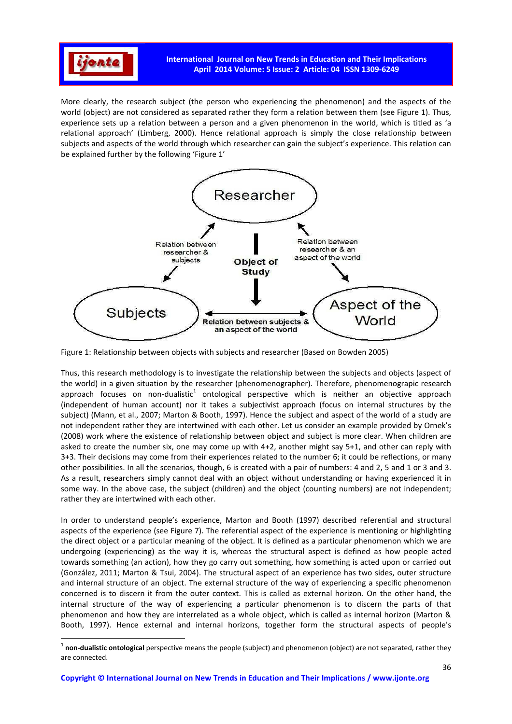

 $\overline{a}$ 

More clearly, the research subject (the person who experiencing the phenomenon) and the aspects of the world (object) are not considered as separated rather they form a relation between them (see Figure 1). Thus, experience sets up a relation between a person and a given phenomenon in the world, which is titled as 'a relational approach' (Limberg, 2000). Hence relational approach is simply the close relationship between subjects and aspects of the world through which researcher can gain the subject's experience. This relation can be explained further by the following 'Figure 1'



Figure 1: Relationship between objects with subjects and researcher (Based on Bowden 2005)

Thus, this research methodology is to investigate the relationship between the subjects and objects (aspect of the world) in a given situation by the researcher (phenomenographer). Therefore, phenomenograpic research approach focuses on non-dualistic<sup>1</sup> ontological perspective which is neither an objective approach (independent of human account) nor it takes a subjectivist approach (focus on internal structures by the subject) (Mann, et al., 2007; Marton & Booth, 1997). Hence the subject and aspect of the world of a study are not independent rather they are intertwined with each other. Let us consider an example provided by Ornek's (2008) work where the existence of relationship between object and subject is more clear. When children are asked to create the number six, one may come up with 4+2, another might say 5+1, and other can reply with 3+3. Their decisions may come from their experiences related to the number 6; it could be reflections, or many other possibilities. In all the scenarios, though, 6 is created with a pair of numbers: 4 and 2, 5 and 1 or 3 and 3. As a result, researchers simply cannot deal with an object without understanding or having experienced it in some way. In the above case, the subject (children) and the object (counting numbers) are not independent; rather they are intertwined with each other.

In order to understand people's experience, Marton and Booth (1997) described referential and structural aspects of the experience (see Figure 7). The referential aspect of the experience is mentioning or highlighting the direct object or a particular meaning of the object. It is defined as a particular phenomenon which we are undergoing (experiencing) as the way it is, whereas the structural aspect is defined as how people acted towards something (an action), how they go carry out something, how something is acted upon or carried out (González, 2011; Marton & Tsui, 2004). The structural aspect of an experience has two sides, outer structure and internal structure of an object. The external structure of the way of experiencing a specific phenomenon concerned is to discern it from the outer context. This is called as external horizon. On the other hand, the internal structure of the way of experiencing a particular phenomenon is to discern the parts of that phenomenon and how they are interrelated as a whole object, which is called as internal horizon (Marton & Booth, 1997). Hence external and internal horizons, together form the structural aspects of people's

**<sup>1</sup> non-dualistic ontological** perspective means the people (subject) and phenomenon (object) are not separated, rather they are connected.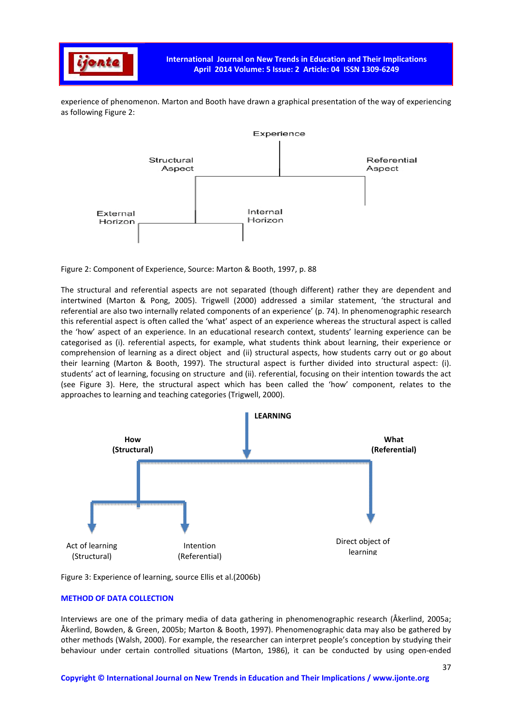

experience of phenomenon. Marton and Booth have drawn a graphical presentation of the way of experiencing as following Figure 2:



Figure 2: Component of Experience, Source: Marton & Booth, 1997, p. 88

The structural and referential aspects are not separated (though different) rather they are dependent and intertwined (Marton & Pong, 2005). Trigwell (2000) addressed a similar statement, 'the structural and referential are also two internally related components of an experience' (p. 74). In phenomenographic research this referential aspect is often called the 'what' aspect of an experience whereas the structural aspect is called the 'how' aspect of an experience. In an educational research context, students' learning experience can be categorised as (i). referential aspects, for example, what students think about learning, their experience or comprehension of learning as a direct object and (ii) structural aspects, how students carry out or go about their learning (Marton & Booth, 1997). The structural aspect is further divided into structural aspect: (i). students' act of learning, focusing on structure and (ii). referential, focusing on their intention towards the act (see Figure 3). Here, the structural aspect which has been called the 'how' component, relates to the approaches to learning and teaching categories (Trigwell, 2000).



Figure 3: Experience of learning, source Ellis et al.(2006b)

### **METHOD OF DATA COLLECTION**

Interviews are one of the primary media of data gathering in phenomenographic research (Åkerlind, 2005a; Åkerlind, Bowden, & Green, 2005b; Marton & Booth, 1997). Phenomenographic data may also be gathered by other methods (Walsh, 2000). For example, the researcher can interpret people's conception by studying their behaviour under certain controlled situations (Marton, 1986), it can be conducted by using open-ended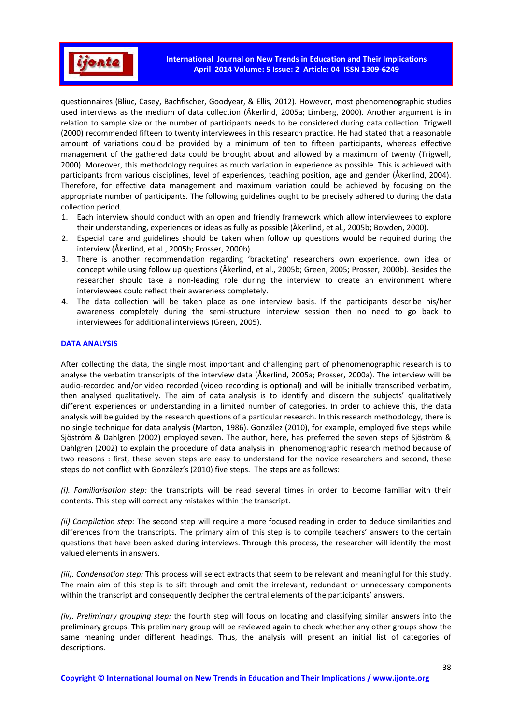

questionnaires (Bliuc, Casey, Bachfischer, Goodyear, & Ellis, 2012). However, most phenomenographic studies used interviews as the medium of data collection (Åkerlind, 2005a; Limberg, 2000). Another argument is in relation to sample size or the number of participants needs to be considered during data collection. Trigwell (2000) recommended fifteen to twenty interviewees in this research practice. He had stated that a reasonable amount of variations could be provided by a minimum of ten to fifteen participants, whereas effective management of the gathered data could be brought about and allowed by a maximum of twenty (Trigwell, 2000). Moreover, this methodology requires as much variation in experience as possible. This is achieved with participants from various disciplines, level of experiences, teaching position, age and gender (Åkerlind, 2004). Therefore, for effective data management and maximum variation could be achieved by focusing on the appropriate number of participants. The following guidelines ought to be precisely adhered to during the data collection period.

- 1. Each interview should conduct with an open and friendly framework which allow interviewees to explore their understanding, experiences or ideas as fully as possible (Åkerlind, et al., 2005b; Bowden, 2000).
- 2. Especial care and guidelines should be taken when follow up questions would be required during the interview (Åkerlind, et al., 2005b; Prosser, 2000b).
- 3. There is another recommendation regarding 'bracketing' researchers own experience, own idea or concept while using follow up questions (Åkerlind, et al., 2005b; Green, 2005; Prosser, 2000b). Besides the researcher should take a non-leading role during the interview to create an environment where interviewees could reflect their awareness completely.
- 4. The data collection will be taken place as one interview basis. If the participants describe his/her awareness completely during the semi-structure interview session then no need to go back to interviewees for additional interviews (Green, 2005).

### **DATA ANALYSIS**

After collecting the data, the single most important and challenging part of phenomenographic research is to analyse the verbatim transcripts of the interview data (Åkerlind, 2005a; Prosser, 2000a). The interview will be audio-recorded and/or video recorded (video recording is optional) and will be initially transcribed verbatim, then analysed qualitatively. The aim of data analysis is to identify and discern the subjects' qualitatively different experiences or understanding in a limited number of categories. In order to achieve this, the data analysis will be guided by the research questions of a particular research. In this research methodology, there is no single technique for data analysis (Marton, 1986). González (2010), for example, employed five steps while Sjöström & Dahlgren (2002) employed seven. The author, here, has preferred the seven steps of Sjöström & Dahlgren (2002) to explain the procedure of data analysis in phenomenographic research method because of two reasons : first, these seven steps are easy to understand for the novice researchers and second, these steps do not conflict with González's (2010) five steps. The steps are as follows:

*(i). Familiarisation step:* the transcripts will be read several times in order to become familiar with their contents. This step will correct any mistakes within the transcript.

*(ii) Compilation step:* The second step will require a more focused reading in order to deduce similarities and differences from the transcripts. The primary aim of this step is to compile teachers' answers to the certain questions that have been asked during interviews. Through this process, the researcher will identify the most valued elements in answers.

*(iii). Condensation step:* This process will select extracts that seem to be relevant and meaningful for this study. The main aim of this step is to sift through and omit the irrelevant, redundant or unnecessary components within the transcript and consequently decipher the central elements of the participants' answers.

*(iv). Preliminary grouping step:* the fourth step will focus on locating and classifying similar answers into the preliminary groups. This preliminary group will be reviewed again to check whether any other groups show the same meaning under different headings. Thus, the analysis will present an initial list of categories of descriptions.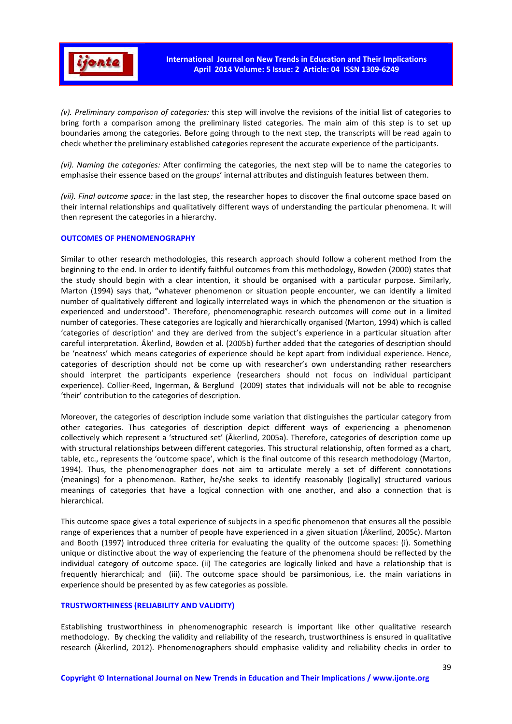

*(v). Preliminary comparison of categories:* this step will involve the revisions of the initial list of categories to bring forth a comparison among the preliminary listed categories. The main aim of this step is to set up boundaries among the categories. Before going through to the next step, the transcripts will be read again to check whether the preliminary established categories represent the accurate experience of the participants.

*(vi). Naming the categories:* After confirming the categories, the next step will be to name the categories to emphasise their essence based on the groups' internal attributes and distinguish features between them.

*(vii). Final outcome space:* in the last step, the researcher hopes to discover the final outcome space based on their internal relationships and qualitatively different ways of understanding the particular phenomena. It will then represent the categories in a hierarchy.

### **OUTCOMES OF PHENOMENOGRAPHY**

Similar to other research methodologies, this research approach should follow a coherent method from the beginning to the end. In order to identify faithful outcomes from this methodology, Bowden (2000) states that the study should begin with a clear intention, it should be organised with a particular purpose. Similarly, Marton (1994) says that, "whatever phenomenon or situation people encounter, we can identify a limited number of qualitatively different and logically interrelated ways in which the phenomenon or the situation is experienced and understood". Therefore, phenomenographic research outcomes will come out in a limited number of categories. These categories are logically and hierarchically organised (Marton, 1994) which is called 'categories of description' and they are derived from the subject's experience in a particular situation after careful interpretation. Åkerlind, Bowden et al. (2005b) further added that the categories of description should be 'neatness' which means categories of experience should be kept apart from individual experience. Hence, categories of description should not be come up with researcher's own understanding rather researchers should interpret the participants experience (researchers should not focus on individual participant experience). Collier-Reed, Ingerman, & Berglund (2009) states that individuals will not be able to recognise 'their' contribution to the categories of description.

Moreover, the categories of description include some variation that distinguishes the particular category from other categories. Thus categories of description depict different ways of experiencing a phenomenon collectively which represent a 'structured set' (Åkerlind, 2005a). Therefore, categories of description come up with structural relationships between different categories. This structural relationship, often formed as a chart, table, etc., represents the 'outcome space', which is the final outcome of this research methodology (Marton, 1994). Thus, the phenomenographer does not aim to articulate merely a set of different connotations (meanings) for a phenomenon. Rather, he/she seeks to identify reasonably (logically) structured various meanings of categories that have a logical connection with one another, and also a connection that is hierarchical.

This outcome space gives a total experience of subjects in a specific phenomenon that ensures all the possible range of experiences that a number of people have experienced in a given situation (Åkerlind, 2005c). Marton and Booth (1997) introduced three criteria for evaluating the quality of the outcome spaces: (i). Something unique or distinctive about the way of experiencing the feature of the phenomena should be reflected by the individual category of outcome space. (ii) The categories are logically linked and have a relationship that is frequently hierarchical; and (iii). The outcome space should be parsimonious, i.e. the main variations in experience should be presented by as few categories as possible.

## **TRUSTWORTHINESS (RELIABILITY AND VALIDITY)**

Establishing trustworthiness in phenomenographic research is important like other qualitative research methodology. By checking the validity and reliability of the research, trustworthiness is ensured in qualitative research (Åkerlind, 2012). Phenomenographers should emphasise validity and reliability checks in order to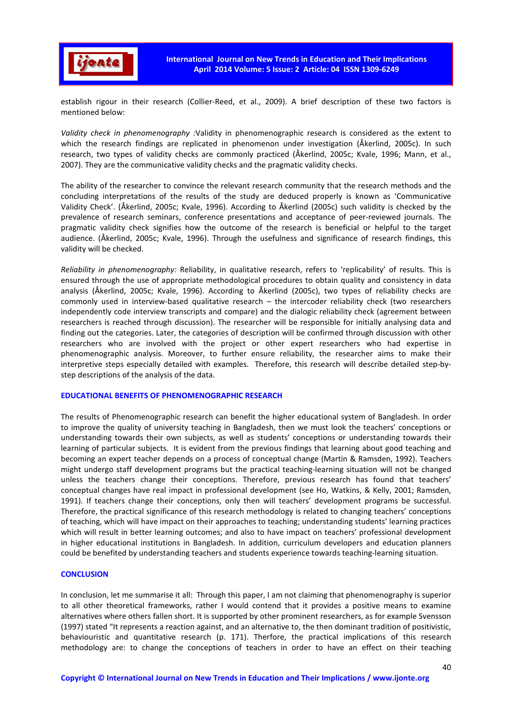

establish rigour in their research (Collier-Reed, et al., 2009). A brief description of these two factors is mentioned below:

*Validity check in phenomenography :*Validity in phenomenographic research is considered as the extent to which the research findings are replicated in phenomenon under investigation (Åkerlind, 2005c). In such research, two types of validity checks are commonly practiced (Åkerlind, 2005c; Kvale, 1996; Mann, et al., 2007). They are the communicative validity checks and the pragmatic validity checks.

The ability of the researcher to convince the relevant research community that the research methods and the concluding interpretations of the results of the study are deduced properly is known as 'Communicative Validity Check'. (Åkerlind, 2005c; Kvale, 1996). According to Åkerlind (2005c) such validity is checked by the prevalence of research seminars, conference presentations and acceptance of peer-reviewed journals. The pragmatic validity check signifies how the outcome of the research is beneficial or helpful to the target audience. (Åkerlind, 2005c; Kvale, 1996). Through the usefulness and significance of research findings, this validity will be checked.

*Reliability in phenomenography:* Reliability, in qualitative research, refers to 'replicability' of results. This is ensured through the use of appropriate methodological procedures to obtain quality and consistency in data analysis (Åkerlind, 2005c; Kvale, 1996). According to Åkerlind (2005c), two types of reliability checks are commonly used in interview-based qualitative research – the intercoder reliability check (two researchers independently code interview transcripts and compare) and the dialogic reliability check (agreement between researchers is reached through discussion). The researcher will be responsible for initially analysing data and finding out the categories. Later, the categories of description will be confirmed through discussion with other researchers who are involved with the project or other expert researchers who had expertise in phenomenographic analysis. Moreover, to further ensure reliability, the researcher aims to make their interpretive steps especially detailed with examples. Therefore, this research will describe detailed step-bystep descriptions of the analysis of the data.

### **EDUCATIONAL BENEFITS OF PHENOMENOGRAPHIC RESEARCH**

The results of Phenomenographic research can benefit the higher educational system of Bangladesh. In order to improve the quality of university teaching in Bangladesh, then we must look the teachers' conceptions or understanding towards their own subjects, as well as students' conceptions or understanding towards their learning of particular subjects. It is evident from the previous findings that learning about good teaching and becoming an expert teacher depends on a process of conceptual change (Martin & Ramsden, 1992). Teachers might undergo staff development programs but the practical teaching-learning situation will not be changed unless the teachers change their conceptions. Therefore, previous research has found that teachers' conceptual changes have real impact in professional development (see Ho, Watkins, & Kelly, 2001; Ramsden, 1991). If teachers change their conceptions, only then will teachers' development programs be successful. Therefore, the practical significance of this research methodology is related to changing teachers' conceptions of teaching, which will have impact on their approaches to teaching; understanding students' learning practices which will result in better learning outcomes; and also to have impact on teachers' professional development in higher educational institutions in Bangladesh. In addition, curriculum developers and education planners could be benefited by understanding teachers and students experience towards teaching-learning situation.

### **CONCLUSION**

In conclusion, let me summarise it all: Through this paper, I am not claiming that phenomenography is superior to all other theoretical frameworks, rather I would contend that it provides a positive means to examine alternatives where others fallen short. It is supported by other prominent researchers, as for example Svensson (1997) stated "It represents a reaction against, and an alternative to, the then dominant tradition of positivistic, behaviouristic and quantitative research (p. 171). Therfore, the practical implications of this research methodology are: to change the conceptions of teachers in order to have an effect on their teaching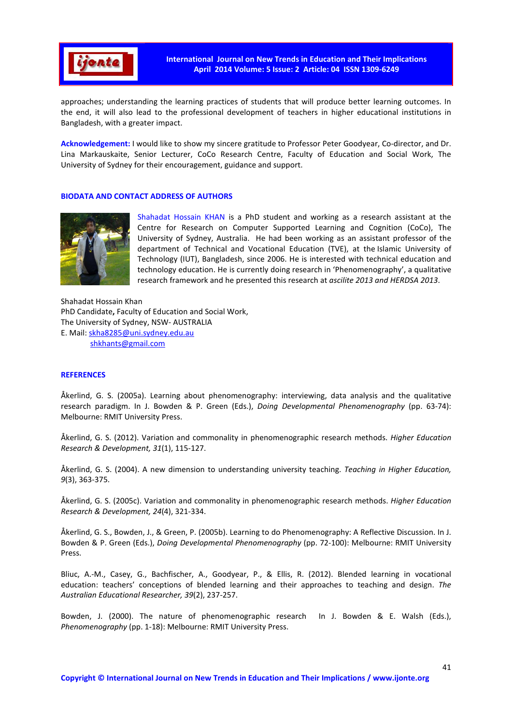

approaches; understanding the learning practices of students that will produce better learning outcomes. In the end, it will also lead to the professional development of teachers in higher educational institutions in Bangladesh, with a greater impact.

**Acknowledgement:** I would like to show my sincere gratitude to Professor Peter Goodyear, Co-director, and Dr. Lina Markauskaite, Senior Lecturer, CoCo Research Centre, Faculty of Education and Social Work, The University of Sydney for their encouragement, guidance and support.

## **BIODATA AND CONTACT ADDRESS OF AUTHORS**



Shahadat Hossain KHAN is a PhD student and working as a research assistant at the Centre for Research on Computer Supported Learning and Cognition (CoCo), The University of Sydney, Australia. He had been working as an assistant professor of the department of Technical and Vocational Education (TVE), at the Islamic University of Technology (IUT), Bangladesh, since 2006. He is interested with technical education and technology education. He is currently doing research in 'Phenomenography', a qualitative research framework and he presented this research at *ascilite 2013 and HERDSA 2013*.

Shahadat Hossain Khan PhD Candidate**,** Faculty of Education and Social Work, The University of Sydney, NSW- AUSTRALIA E. Mail: skha8285@uni.sydney.edu.au shkhants@gmail.com

## **REFERENCES**

Åkerlind, G. S. (2005a). Learning about phenomenography: interviewing, data analysis and the qualitative research paradigm. In J. Bowden & P. Green (Eds.), *Doing Developmental Phenomenography* (pp. 63-74): Melbourne: RMIT University Press.

Åkerlind, G. S. (2012). Variation and commonality in phenomenographic research methods. *Higher Education Research & Development, 31*(1), 115-127.

Åkerlind, G. S. (2004). A new dimension to understanding university teaching. *Teaching in Higher Education, 9*(3), 363-375.

Åkerlind, G. S. (2005c). Variation and commonality in phenomenographic research methods. *Higher Education Research & Development, 24*(4), 321-334.

Åkerlind, G. S., Bowden, J., & Green, P. (2005b). Learning to do Phenomenography: A Reflective Discussion. In J. Bowden & P. Green (Eds.), *Doing Developmental Phenomenography* (pp. 72-100): Melbourne: RMIT University Press.

Bliuc, A.-M., Casey, G., Bachfischer, A., Goodyear, P., & Ellis, R. (2012). Blended learning in vocational education: teachers' conceptions of blended learning and their approaches to teaching and design. *The Australian Educational Researcher, 39*(2), 237-257.

Bowden, J. (2000). The nature of phenomenographic research In J. Bowden & E. Walsh (Eds.), *Phenomenography* (pp. 1-18): Melbourne: RMIT University Press.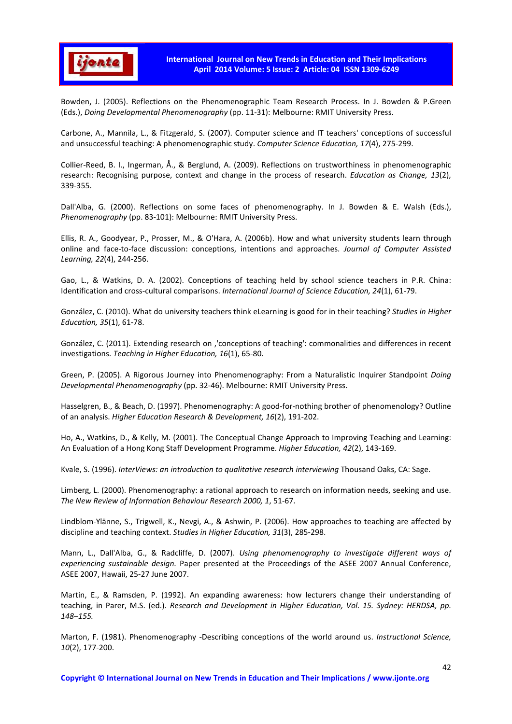

Bowden, J. (2005). Reflections on the Phenomenographic Team Research Process. In J. Bowden & P.Green (Eds.), *Doing Developmental Phenomenography* (pp. 11-31): Melbourne: RMIT University Press.

Carbone, A., Mannila, L., & Fitzgerald, S. (2007). Computer science and IT teachers' conceptions of successful and unsuccessful teaching: A phenomenographic study. *Computer Science Education, 17*(4), 275-299.

Collier-Reed, B. I., Ingerman, Å., & Berglund, A. (2009). Reflections on trustworthiness in phenomenographic research: Recognising purpose, context and change in the process of research. *Education as Change, 13*(2), 339-355.

Dall'Alba, G. (2000). Reflections on some faces of phenomenography. In J. Bowden & E. Walsh (Eds.), *Phenomenography* (pp. 83-101): Melbourne: RMIT University Press.

Ellis, R. A., Goodyear, P., Prosser, M., & O'Hara, A. (2006b). How and what university students learn through online and face-to-face discussion: conceptions, intentions and approaches. *Journal of Computer Assisted Learning, 22*(4), 244-256.

Gao, L., & Watkins, D. A. (2002). Conceptions of teaching held by school science teachers in P.R. China: Identification and cross-cultural comparisons. *International Journal of Science Education, 24*(1), 61-79.

González, C. (2010). What do university teachers think eLearning is good for in their teaching? *Studies in Higher Education, 35*(1), 61-78.

González, C. (2011). Extending research on ''conceptions of teaching': commonalities and differences in recent investigations. *Teaching in Higher Education, 16*(1), 65-80.

Green, P. (2005). A Rigorous Journey into Phenomenography: From a Naturalistic Inquirer Standpoint *Doing Developmental Phenomenography* (pp. 32-46). Melbourne: RMIT University Press.

Hasselgren, B., & Beach, D. (1997). Phenomenography: A good-for-nothing brother of phenomenology? Outline of an analysis. *Higher Education Research & Development, 16*(2), 191-202.

Ho, A., Watkins, D., & Kelly, M. (2001). The Conceptual Change Approach to Improving Teaching and Learning: An Evaluation of a Hong Kong Staff Development Programme. *Higher Education, 42*(2), 143-169.

Kvale, S. (1996). *InterViews: an introduction to qualitative research interviewing* Thousand Oaks, CA: Sage.

Limberg, L. (2000). Phenomenography: a rational approach to research on information needs, seeking and use. *The New Review of Information Behaviour Research 2000, 1*, 51-67.

Lindblom-Ylänne, S., Trigwell, K., Nevgi, A., & Ashwin, P. (2006). How approaches to teaching are affected by discipline and teaching context. *Studies in Higher Education, 31*(3), 285-298.

Mann, L., Dall'Alba, G., & Radcliffe, D. (2007). *Using phenomenography to investigate different ways of experiencing sustainable design.* Paper presented at the Proceedings of the ASEE 2007 Annual Conference, ASEE 2007, Hawaii, 25-27 June 2007.

Martin, E., & Ramsden, P. (1992). An expanding awareness: how lecturers change their understanding of teaching, in Parer, M.S. (ed.). *Research and Development in Higher Education, Vol. 15. Sydney: HERDSA, pp. 148–155.* 

Marton, F. (1981). Phenomenography -Describing conceptions of the world around us. *Instructional Science, 10*(2), 177-200.